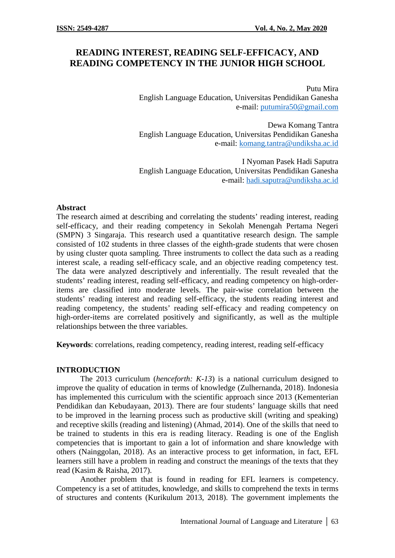# **READING INTEREST, READING SELF-EFFICACY, AND READING COMPETENCY IN THE JUNIOR HIGH SCHOOL**

Putu Mira English Language Education, Universitas Pendidikan Ganesha e-mail: putumira50@gmail.com

Dewa Komang Tantra English Language Education, Universitas Pendidikan Ganesha e-mail: komang.tantra@undiksha.ac.id

I Nyoman Pasek Hadi Saputra English Language Education, Universitas Pendidikan Ganesha e-mail: hadi.saputra@undiksha.ac.id

#### **Abstract**

The research aimed at describing and correlating the students' reading interest, reading self-efficacy, and their reading competency in Sekolah Menengah Pertama Negeri (SMPN) 3 Singaraja. This research used a quantitative research design. The sample consisted of 102 students in three classes of the eighth-grade students that were chosen by using cluster quota sampling. Three instruments to collect the data such as a reading interest scale, a reading self-efficacy scale, and an objective reading competency test. The data were analyzed descriptively and inferentially. The result revealed that the students' reading interest, reading self-efficacy, and reading competency on high-orderitems are classified into moderate levels. The pair-wise correlation between the students' reading interest and reading self-efficacy, the students reading interest and reading competency, the students' reading self-efficacy and reading competency on high-order-items are correlated positively and significantly, as well as the multiple relationships between the three variables.

**Keywords**: correlations, reading competency, reading interest, reading self-efficacy

### **INTRODUCTION**

The 2013 curriculum (*henceforth: K-13*) is a national curriculum designed to improve the quality of education in terms of knowledge (Zulhernanda, 2018). Indonesia has implemented this curriculum with the scientific approach since 2013 (Kementerian Pendidikan dan Kebudayaan, 2013). There are four students' language skills that need to be improved in the learning process such as productive skill (writing and speaking) and receptive skills (reading and listening) (Ahmad, 2014). One of the skills that need to be trained to students in this era is reading literacy. Reading is one of the English competencies that is important to gain a lot of information and share knowledge with others (Nainggolan, 2018). As an interactive process to get information, in fact, EFL learners still have a problem in reading and construct the meanings of the texts that they read (Kasim & Raisha, 2017).

Another problem that is found in reading for EFL learners is competency. Competency is a set of attitudes, knowledge, and skills to comprehend the texts in terms of structures and contents (Kurikulum 2013, 2018). The government implements the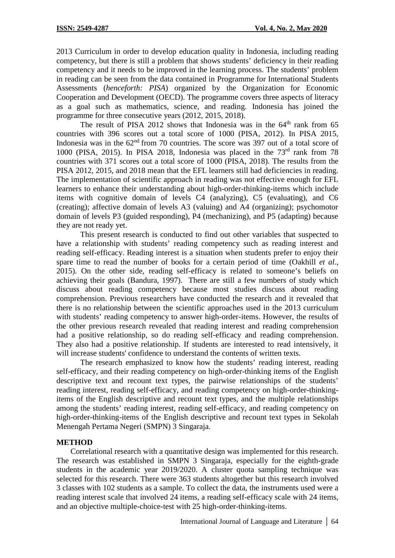2013 Curriculum in order to develop education quality in Indonesia, including reading competency, but there is still a problem that shows students' deficiency in their reading competency and it needs to be improved in the learning process. The students' problem in reading can be seen from the data contained in Programme for International Students Assessments (*henceforth: PISA*) organized by the Organization for Economic Cooperation and Development (OECD). The programme covers three aspects of literacy as a goal such as mathematics, science, and reading. Indonesia has joined the programme for three consecutive years (2012, 2015, 2018).

The result of PISA 2012 shows that Indonesia was in the  $64<sup>th</sup>$  rank from 65 countries with 396 scores out a total score of 1000 (PISA, 2012). In PISA 2015, Indonesia was in the  $62<sup>nd</sup>$  from 70 countries. The score was 397 out of a total score of 1000 (PISA, 2015). In PISA 2018, Indonesia was placed in the 73<sup>rd</sup> rank from 78 countries with 371 scores out a total score of 1000 (PISA, 2018). The results from the PISA 2012, 2015, and 2018 mean that the EFL learners still had deficiencies in reading. The implementation of scientific approach in reading was not effective enough for EFL learners to enhance their understanding about high-order-thinking-items which include items with cognitive domain of levels C4 (analyzing), C5 (evaluating), and C6 (creating); affective domain of levels A3 (valuing) and A4 (organizing); psychomotor domain of levels P3 (guided responding), P4 (mechanizing), and P5 (adapting) because they are not ready yet.

This present research is conducted to find out other variables that suspected to have a relationship with students' reading competency such as reading interest and reading self-efficacy. Reading interest is a situation when students prefer to enjoy their spare time to read the number of books for a certain period of time (Oakhill *et al*., 2015). On the other side, reading self-efficacy is related to someone's beliefs on achieving their goals (Bandura, 1997). There are still a few numbers of study which discuss about reading competency because most studies discuss about reading comprehension. Previous researchers have conducted the research and it revealed that there is no relationship between the scientific approaches used in the 2013 curriculum with students' reading competency to answer high-order-items. However, the results of the other previous research revealed that reading interest and reading comprehension had a positive relationship, so do reading self-efficacy and reading comprehension. They also had a positive relationship. If students are interested to read intensively, it will increase students' confidence to understand the contents of written texts.

The research emphasized to know how the students' reading interest, reading self-efficacy, and their reading competency on high-order-thinking items of the English descriptive text and recount text types, the pairwise relationships of the students' reading interest, reading self-efficacy, and reading competency on high-order-thinkingitems of the English descriptive and recount text types, and the multiple relationships among the students' reading interest, reading self-efficacy, and reading competency on high-order-thinking-items of the English descriptive and recount text types in Sekolah Menengah Pertama Negeri (SMPN) 3 Singaraja.

## **METHOD**

Correlational research with a quantitative design was implemented for this research. The research was established in SMPN 3 Singaraja, especially for the eighth-grade students in the academic year 2019/2020. A cluster quota sampling technique was selected for this research. There were 363 students altogether but this research involved 3 classes with 102 students as a sample. To collect the data, the instruments used were a reading interest scale that involved 24 items, a reading self-efficacy scale with 24 items, and an objective multiple-choice-test with 25 high-order-thinking-items.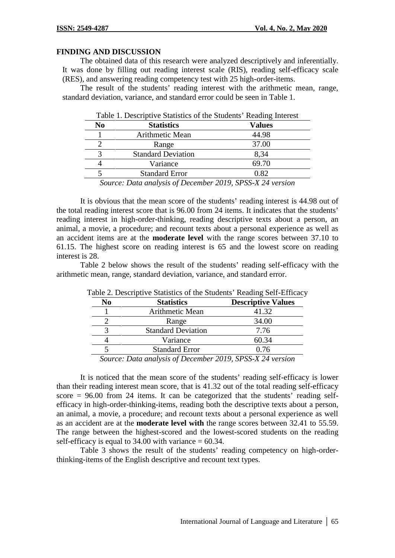#### **FINDING AND DISCUSSION**

The obtained data of this research were analyzed descriptively and inferentially. It was done by filling out reading interest scale (RIS), reading self-efficacy scale (RES), and answering reading competency test with 25 high-order-items.

The result of the students' reading interest with the arithmetic mean, range, standard deviation, variance, and standard error could be seen in Table 1.

|                | Table 1. Descriptive Statistics of the Students' Reading Interest |               |  |
|----------------|-------------------------------------------------------------------|---------------|--|
| N <sub>0</sub> | <b>Statistics</b>                                                 | <b>Values</b> |  |
|                | Arithmetic Mean                                                   | 44.98         |  |
|                | Range                                                             | 37.00         |  |
| 3              | <b>Standard Deviation</b>                                         | 8.34          |  |
|                | Variance                                                          | 69.70         |  |
|                | <b>Standard Error</b>                                             | 0.82          |  |
|                | Source: Data analysis of December 2019, SPSS-X 24 version         |               |  |

*Source: Data analysis of December 2019, SPSS-X 24 version*

It is obvious that the mean score of the students' reading interest is 44.98 out of the total reading interest score that is 96.00 from 24 items. It indicates that the students' reading interest in high-order-thinking, reading descriptive texts about a person, an animal, a movie, a procedure; and recount texts about a personal experience as well as an accident items are at the **moderate level** with the range scores between 37.10 to 61.15. The highest score on reading interest is 65 and the lowest score on reading interest is 28.

Table 2 below shows the result of the students' reading self-efficacy with the arithmetic mean, range, standard deviation, variance, and standard error.

| N <sub>0</sub> | <b>Statistics</b>                                                                   | <b>Descriptive Values</b> |  |
|----------------|-------------------------------------------------------------------------------------|---------------------------|--|
|                | Arithmetic Mean                                                                     | 41.32                     |  |
|                | Range                                                                               | 34.00                     |  |
|                | <b>Standard Deviation</b>                                                           | 7.76                      |  |
|                | Variance                                                                            | 60.34                     |  |
|                | <b>Standard Error</b>                                                               | 0.76                      |  |
|                | $S_{\text{current}}$ $Data$ quality of $D_{\text{normal}}$ $2010$ CDCC V 24 version |                           |  |

Table 2. Descriptive Statistics of the Students' Reading Self-Efficacy

*Source: Data analysis of December 2019, SPSS-X 24 version*

It is noticed that the mean score of the students' reading self-efficacy is lower than their reading interest mean score, that is 41.32 out of the total reading self-efficacy score  $= 96.00$  from 24 items. It can be categorized that the students' reading selfefficacy in high-order-thinking-items, reading both the descriptive texts about a person, an animal, a movie, a procedure; and recount texts about a personal experience as well as an accident are at the **moderate level with** the range scores between 32.41 to 55.59. The range between the highest-scored and the lowest-scored students on the reading self-efficacy is equal to  $34.00$  with variance = 60.34.

Table 3 shows the result of the students' reading competency on high-orderthinking-items of the English descriptive and recount text types.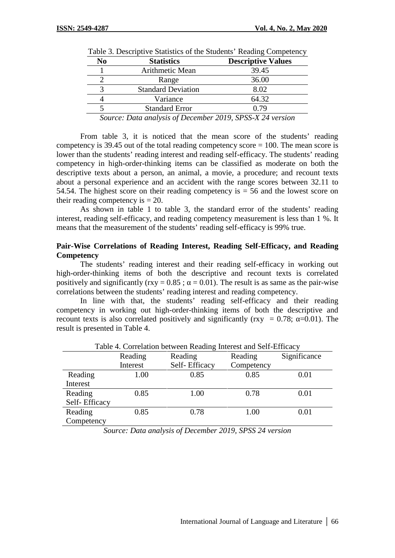| N <sub>0</sub> | <b>Statistics</b>                                                                            | <b>Descriptive Values</b> |
|----------------|----------------------------------------------------------------------------------------------|---------------------------|
|                | Arithmetic Mean                                                                              | 39.45                     |
|                | Range                                                                                        | 36.00                     |
|                | <b>Standard Deviation</b>                                                                    | 8.02                      |
|                | Variance                                                                                     | 64.32                     |
|                | <b>Standard Error</b>                                                                        | 0.79                      |
|                | $S_{\text{current}}$ $D_{\text{stat}}$ angles of $D_{\text{normal}}$ $2010$ CDCC V 24 region |                           |

| Table 3. Descriptive Statistics of the Students' Reading Competency |  |  |
|---------------------------------------------------------------------|--|--|
|                                                                     |  |  |

*Source: Data analysis of December 2019, SPSS-X 24 version*

From table 3, it is noticed that the mean score of the students' reading competency is 39.45 out of the total reading competency score = 100. The mean score is lower than the students' reading interest and reading self-efficacy. The students' reading competency in high-order-thinking items can be classified as moderate on both the descriptive texts about a person, an animal, a movie, a procedure; and recount texts about a personal experience and an accident with the range scores between 32.11 to 54.54. The highest score on their reading competency is  $=$  56 and the lowest score on their reading competency is  $= 20$ .

As shown in table 1 to table 3, the standard error of the students' reading interest, reading self-efficacy, and reading competency measurement is less than 1 %. It means that the measurement of the students' reading self-efficacy is 99% true.

### **Pair-Wise Correlations of Reading Interest, Reading Self-Efficacy, and Reading Competency**

The students' reading interest and their reading self-efficacy in working out high-order-thinking items of both the descriptive and recount texts is correlated positively and significantly ( $rxy = 0.85$ ; = 0.01). The result is as same as the pair-wise correlations between the students' reading interest and reading competency.

In line with that, the students' reading self-efficacy and their reading competency in working out high-order-thinking items of both the descriptive and recount texts is also correlated positively and significantly (rxy =  $0.78$ ; =  $0.01$ ). The result is presented in Table 4.

|               | Table 4. Correlation between Reading Interest and Self-Efficacy |                          |                       |              |
|---------------|-----------------------------------------------------------------|--------------------------|-----------------------|--------------|
|               | Reading<br>Interest                                             | Reading<br>Self-Efficacy | Reading<br>Competency | Significance |
|               |                                                                 |                          |                       |              |
| Reading       | 1.00                                                            | 0.85                     | 0.85                  | 0.01         |
| Interest      |                                                                 |                          |                       |              |
| Reading       | 0.85                                                            | 1.00                     | 0.78                  | 0.01         |
| Self-Efficacy |                                                                 |                          |                       |              |
| Reading       | 0.85                                                            | 0.78                     | 1.00                  | 0.01         |
| Competency    |                                                                 |                          |                       |              |

Table 4. Correlation between Reading Interest and Self-Efficacy

*Source: Data analysis of December 2019, SPSS 24 version*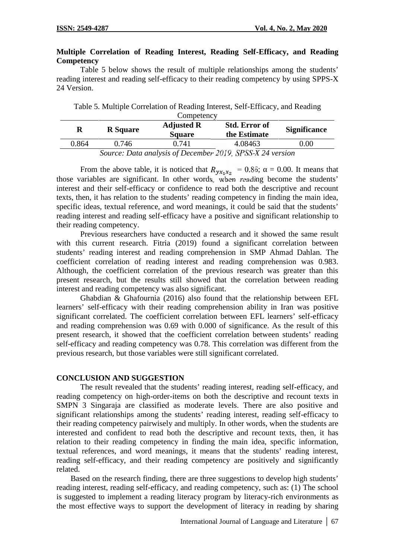## **Multiple Correlation of Reading Interest, Reading Self-Efficacy, and Reading Competency**

Table 5 below shows the result of multiple relationships among the students' reading interest and reading self-efficacy to their reading competency by using SPPS-X 24 Version.

Table 5. Multiple Correlation of Reading Interest, Self-Efficacy, and Reading

|       | Competency      |                                    |                                      |                     |  |
|-------|-----------------|------------------------------------|--------------------------------------|---------------------|--|
|       | <b>R</b> Square | <b>Adjusted R</b><br><b>Square</b> | <b>Std. Error of</b><br>the Estimate | <b>Significance</b> |  |
| 0.864 | 0.746           | 0.741                              | 4.08463                              | $0.00\,$            |  |

*Source: Data analysis of December 2019, SPSS-X 24 version*

From the above table, it is noticed that  $R_{\nu x_1 x_2} = 0.86$ ; = 0.00. It means that those variables are significant. In other words, when reading become the students' interest and their self-efficacy or confidence to read both the descriptive and recount texts, then, it has relation to the students' reading competency in finding the main idea, specific ideas, textual reference, and word meanings, it could be said that the students' reading interest and reading self-efficacy have a positive and significant relationship to their reading competency.

Previous researchers have conducted a research and it showed the same result with this current research. Fitria (2019) found a significant correlation between students' reading interest and reading comprehension in SMP Ahmad Dahlan. The coefficient correlation of reading interest and reading comprehension was 0.983. Although, the coefficient correlation of the previous research was greater than this present research, but the results still showed that the correlation between reading interest and reading competency was also significant.

Ghabdian & Ghafournia (2016) also found that the relationship between EFL learners' self-efficacy with their reading comprehension ability in Iran was positive significant correlated. The coefficient correlation between EFL learners' self-efficacy and reading comprehension was 0.69 with 0.000 of significance. As the result of this present research, it showed that the coefficient correlation between students' reading self-efficacy and reading competency was 0.78. This correlation was different from the previous research, but those variables were still significant correlated.

### **CONCLUSION AND SUGGESTION**

The result revealed that the students' reading interest, reading self-efficacy, and reading competency on high-order-items on both the descriptive and recount texts in SMPN 3 Singaraja are classified as moderate levels. There are also positive and significant relationships among the students' reading interest, reading self-efficacy to their reading competency pairwisely and multiply. In other words, when the students are interested and confident to read both the descriptive and recount texts, then, it has relation to their reading competency in finding the main idea, specific information, textual references, and word meanings, it means that the students' reading interest, reading self-efficacy, and their reading competency are positively and significantly related.

Based on the research finding, there are three suggestions to develop high students' reading interest, reading self-efficacy, and reading competency, such as: (1) The school is suggested to implement a reading literacy program by literacy-rich environments as the most effective ways to support the development of literacy in reading by sharing